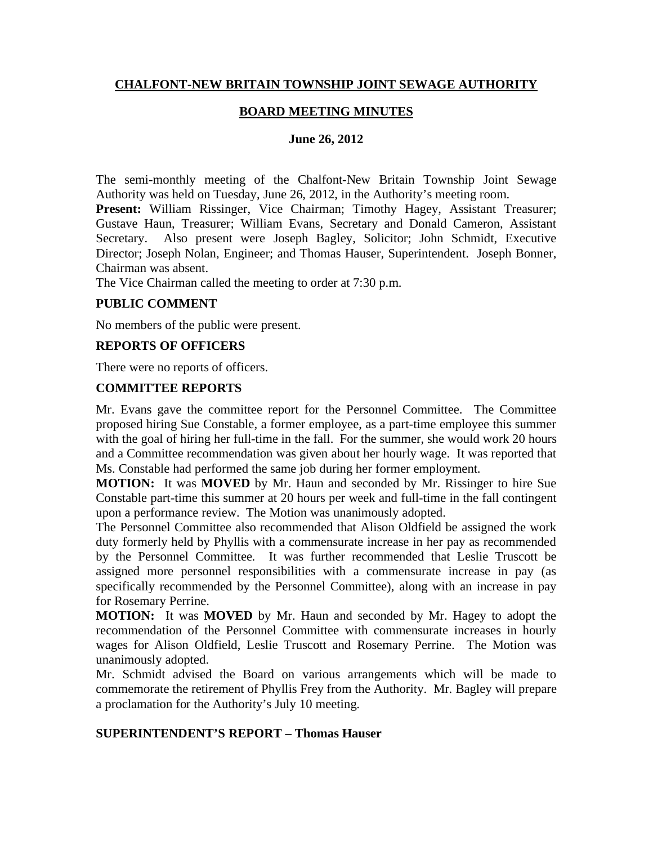## **CHALFONT-NEW BRITAIN TOWNSHIP JOINT SEWAGE AUTHORITY**

## **BOARD MEETING MINUTES**

#### **June 26, 2012**

The semi-monthly meeting of the Chalfont-New Britain Township Joint Sewage Authority was held on Tuesday, June 26, 2012, in the Authority's meeting room.

Present: William Rissinger, Vice Chairman; Timothy Hagey, Assistant Treasurer; Gustave Haun, Treasurer; William Evans, Secretary and Donald Cameron, Assistant Secretary. Also present were Joseph Bagley, Solicitor; John Schmidt, Executive Director; Joseph Nolan, Engineer; and Thomas Hauser, Superintendent. Joseph Bonner, Chairman was absent.

The Vice Chairman called the meeting to order at 7:30 p.m.

#### **PUBLIC COMMENT**

No members of the public were present.

### **REPORTS OF OFFICERS**

There were no reports of officers.

#### **COMMITTEE REPORTS**

Mr. Evans gave the committee report for the Personnel Committee. The Committee proposed hiring Sue Constable, a former employee, as a part-time employee this summer with the goal of hiring her full-time in the fall. For the summer, she would work 20 hours and a Committee recommendation was given about her hourly wage. It was reported that Ms. Constable had performed the same job during her former employment.

**MOTION:** It was **MOVED** by Mr. Haun and seconded by Mr. Rissinger to hire Sue Constable part-time this summer at 20 hours per week and full-time in the fall contingent upon a performance review. The Motion was unanimously adopted.

The Personnel Committee also recommended that Alison Oldfield be assigned the work duty formerly held by Phyllis with a commensurate increase in her pay as recommended by the Personnel Committee. It was further recommended that Leslie Truscott be assigned more personnel responsibilities with a commensurate increase in pay (as specifically recommended by the Personnel Committee), along with an increase in pay for Rosemary Perrine.

**MOTION:** It was **MOVED** by Mr. Haun and seconded by Mr. Hagey to adopt the recommendation of the Personnel Committee with commensurate increases in hourly wages for Alison Oldfield, Leslie Truscott and Rosemary Perrine. The Motion was unanimously adopted.

Mr. Schmidt advised the Board on various arrangements which will be made to commemorate the retirement of Phyllis Frey from the Authority. Mr. Bagley will prepare a proclamation for the Authority's July 10 meeting.

### **SUPERINTENDENT'S REPORT – Thomas Hauser**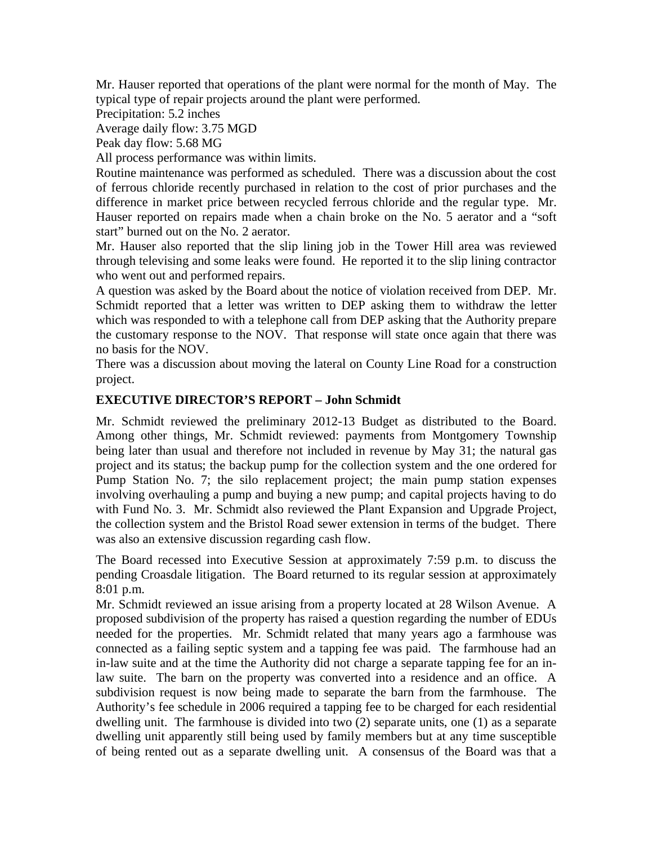Mr. Hauser reported that operations of the plant were normal for the month of May. The typical type of repair projects around the plant were performed.

Precipitation: 5.2 inches

Average daily flow: 3.75 MGD

Peak day flow: 5.68 MG

All process performance was within limits.

Routine maintenance was performed as scheduled. There was a discussion about the cost of ferrous chloride recently purchased in relation to the cost of prior purchases and the difference in market price between recycled ferrous chloride and the regular type. Mr. Hauser reported on repairs made when a chain broke on the No. 5 aerator and a "soft start" burned out on the No. 2 aerator.

Mr. Hauser also reported that the slip lining job in the Tower Hill area was reviewed through televising and some leaks were found. He reported it to the slip lining contractor who went out and performed repairs.

A question was asked by the Board about the notice of violation received from DEP. Mr. Schmidt reported that a letter was written to DEP asking them to withdraw the letter which was responded to with a telephone call from DEP asking that the Authority prepare the customary response to the NOV. That response will state once again that there was no basis for the NOV.

There was a discussion about moving the lateral on County Line Road for a construction project.

## **EXECUTIVE DIRECTOR'S REPORT – John Schmidt**

Mr. Schmidt reviewed the preliminary 2012-13 Budget as distributed to the Board. Among other things, Mr. Schmidt reviewed: payments from Montgomery Township being later than usual and therefore not included in revenue by May 31; the natural gas project and its status; the backup pump for the collection system and the one ordered for Pump Station No. 7; the silo replacement project; the main pump station expenses involving overhauling a pump and buying a new pump; and capital projects having to do with Fund No. 3. Mr. Schmidt also reviewed the Plant Expansion and Upgrade Project, the collection system and the Bristol Road sewer extension in terms of the budget. There was also an extensive discussion regarding cash flow.

The Board recessed into Executive Session at approximately 7:59 p.m. to discuss the pending Croasdale litigation. The Board returned to its regular session at approximately 8:01 p.m.

Mr. Schmidt reviewed an issue arising from a property located at 28 Wilson Avenue. A proposed subdivision of the property has raised a question regarding the number of EDUs needed for the properties. Mr. Schmidt related that many years ago a farmhouse was connected as a failing septic system and a tapping fee was paid. The farmhouse had an in-law suite and at the time the Authority did not charge a separate tapping fee for an inlaw suite. The barn on the property was converted into a residence and an office. A subdivision request is now being made to separate the barn from the farmhouse. The Authority's fee schedule in 2006 required a tapping fee to be charged for each residential dwelling unit. The farmhouse is divided into two (2) separate units, one (1) as a separate dwelling unit apparently still being used by family members but at any time susceptible of being rented out as a separate dwelling unit. A consensus of the Board was that a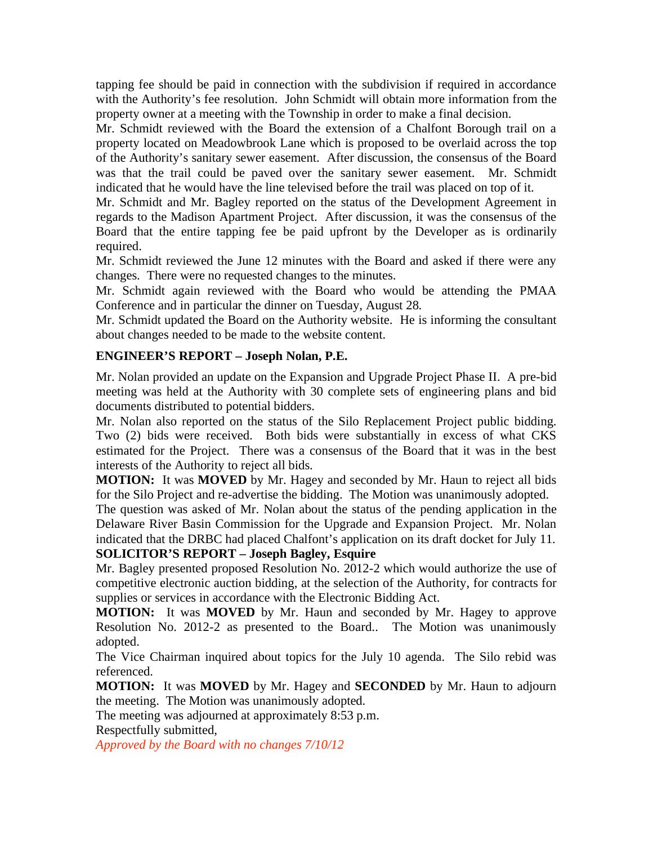tapping fee should be paid in connection with the subdivision if required in accordance with the Authority's fee resolution. John Schmidt will obtain more information from the property owner at a meeting with the Township in order to make a final decision.

Mr. Schmidt reviewed with the Board the extension of a Chalfont Borough trail on a property located on Meadowbrook Lane which is proposed to be overlaid across the top of the Authority's sanitary sewer easement. After discussion, the consensus of the Board was that the trail could be paved over the sanitary sewer easement. Mr. Schmidt indicated that he would have the line televised before the trail was placed on top of it.

Mr. Schmidt and Mr. Bagley reported on the status of the Development Agreement in regards to the Madison Apartment Project. After discussion, it was the consensus of the Board that the entire tapping fee be paid upfront by the Developer as is ordinarily required.

Mr. Schmidt reviewed the June 12 minutes with the Board and asked if there were any changes. There were no requested changes to the minutes.

Mr. Schmidt again reviewed with the Board who would be attending the PMAA Conference and in particular the dinner on Tuesday, August 28.

Mr. Schmidt updated the Board on the Authority website. He is informing the consultant about changes needed to be made to the website content.

# **ENGINEER'S REPORT – Joseph Nolan, P.E.**

Mr. Nolan provided an update on the Expansion and Upgrade Project Phase II. A pre-bid meeting was held at the Authority with 30 complete sets of engineering plans and bid documents distributed to potential bidders.

Mr. Nolan also reported on the status of the Silo Replacement Project public bidding. Two (2) bids were received. Both bids were substantially in excess of what CKS estimated for the Project. There was a consensus of the Board that it was in the best interests of the Authority to reject all bids.

**MOTION:** It was **MOVED** by Mr. Hagey and seconded by Mr. Haun to reject all bids for the Silo Project and re-advertise the bidding. The Motion was unanimously adopted.

The question was asked of Mr. Nolan about the status of the pending application in the Delaware River Basin Commission for the Upgrade and Expansion Project. Mr. Nolan indicated that the DRBC had placed Chalfont's application on its draft docket for July 11.

# **SOLICITOR'S REPORT – Joseph Bagley, Esquire**

Mr. Bagley presented proposed Resolution No. 2012-2 which would authorize the use of competitive electronic auction bidding, at the selection of the Authority, for contracts for supplies or services in accordance with the Electronic Bidding Act.

**MOTION:** It was **MOVED** by Mr. Haun and seconded by Mr. Hagey to approve Resolution No. 2012-2 as presented to the Board.. The Motion was unanimously adopted.

The Vice Chairman inquired about topics for the July 10 agenda. The Silo rebid was referenced.

**MOTION:** It was **MOVED** by Mr. Hagey and **SECONDED** by Mr. Haun to adjourn the meeting. The Motion was unanimously adopted.

The meeting was adjourned at approximately 8:53 p.m.

Respectfully submitted,

*Approved by the Board with no changes 7/10/12*